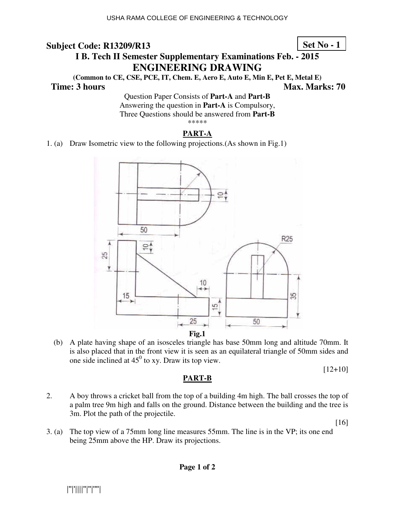## **Set No - 1**

# **I B. Tech II Semester Supplementary Examinations Feb. - 2015 ENG NGINEERING DRAWING**

(Common to CE, CSE, PCE, IT, Chem. E, Aero E, Auto E, Min E, Pet E, Metal E)

#### **Time: 3 hours**

*Ma* **ax. Marks: 70**

Question Paper Consists of Part-A and Part-B Answering the question in **Part-A** is Compulsory, Three Questions should be answered from Part-B \*\*\*\*\*

#### **PART-A**

1. (a) Draw Isometric view to the following projections. (As shown in Fig.1)



(b) A plate having shape of an isosceles triangle has base 50mm long and altitude 70mm. It is also placed that in the front view it is seen as an equilateral triangle of 50mm sides and one side inclined at  $45^{\circ}$  to xy. Draw its top view.

[12+10]

#### **PART-B**

2. A boy throws a cricket ball from the top of a building 4m high. The ball crosses the top of a palm tree 9m high and falls on the ground. Distance between the building and the tree is 3m. Plot the path of the projectile.

[16]

3. (a) The top view of a 75mm long line measures 55mm. The line is in the VP; its one end being 25mm above the HP. Draw its projections.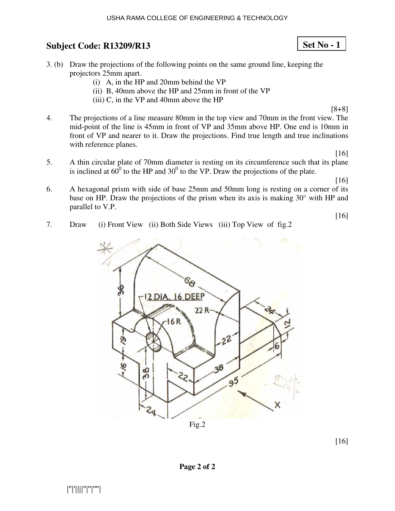#### USHA RAMA COLLEGE OF ENGINEERING & TECHNOLOGY

## **Subject Code: R13209/R13 13**

- 3. (b) Draw the projections of the following points on the same ground line, keeping the projectors 25mm apart.
	- $(i)$  A, in the HP and 20mm behind the VP
	- (ii) B, 40mm above the HP and  $25$ mm in front of the VP
	- $(iii)$  C, in the VP and 40mm above the HP
- 4. The projections of a line measure 80mm in the top view and 70mm in the front view. The mid-point of the line is 45mm in front of VP and 35mm above HP. One end is 10mm in front of VP and nearer to it. Draw the projections. Find true length and true inclinations with reference planes. [8+8]
- 5. A thin circular plate of 70mm diameter is resting on its circumference such that its plane is inclined at  $60^{\circ}$  to the HP and  $30^{\circ}$  to the VP. Draw the projections of the plate.

[16]

[16]

[16]

- 6. A hexagonal prism with side of base 25mm and 50mm long is resting on a corner of its base on HP. Draw the projections of the prism when its axis is making  $30^{\circ}$  with HP and parallel to V.P.
- 7. Draw (i) Front View (ii) Both Side Views (iii) Top View of fig.2
	- 6 DEEP  $22R$ 38 86  $\frac{6}{9}$

[16]

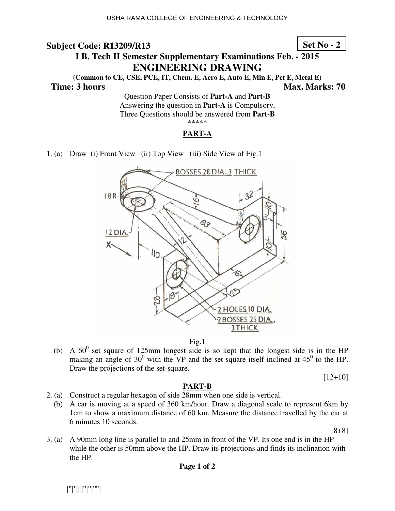**Set No - 2**

# **I B. Tech II Semester Supplementary Examinations Feb. - 2015 ENG NGINEERING DRAWING**

(Common to CE, CSE, PCE, IT, Chem. E, Aero E, Auto E, Min E, Pet E, Metal E)  **Time: 3 hours**  *Ma* **ax. Marks: 70**

Question Paper Consists of Part-A and Part-B Answering the question in **Part-A** is Compulsory, Three Questions should be answered from Part-B \*\*\*\*\*

#### **PART-A**

1. (a) Draw (i) Front View (ii) Top View (iii) Side View of Fig.1



Fig.1

(b) A  $60^{\circ}$  set square of 125mm longest side is so kept that the longest side is in the HP making an angle of  $30^0$  with the VP and the set square itself inclined at  $45^0$  to the HP. Draw the projections of the set-square.

[12+10]

#### **PART-B**

- 2. (a) Construct a regular hexagon of side 28mm when one side is vertical.
	- (b) A car is moving at a speed of 360 km/hour. Draw a diagonal scale to represent 6km by lcm to show a maximum distance of 60 km. Measure the distance travelled by the car at 6 minutes 10 seconds.

[8+8]

3. (a) A 90mm long line is parallel to and 25mm in front of the VP. Its one end is in the HP while the other is 50mm above the HP. Draw its projections and finds its inclination with the HP.

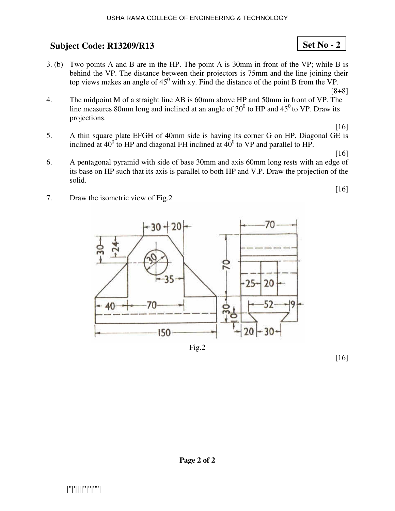3. (b) Two points A and B are in the HP. The point A is  $30 \text{mm}$  in front of the VP; while B is behind the VP. The distance between their projectors is 75mm and the line joining their top views makes an angle of  $45^{\circ}$  with xy. Find the distance of the point B from the VP.

[8+8]

**Set No - 2**

- 4. The midpoint M of a straight line AB is 60mm above HP and 50mm in front of VP. The line measures 80mm long and inclined at an angle of  $30^0$  to HP and  $45^0$  to VP. Draw its projections.
- 5. A thin square plate EFGH of 40mm side is having its corner G on HP. Diagonal GE is inclined at  $40^{\circ}$  to HP and diagonal FH inclined at  $40^{\circ}$  to VP and parallel to HP. [16]

[16]

[16]

- 6. A pentagonal pyramid with side of base 30mm and axis 60mm long rests with an edge of its base on HP such that its axis is parallel to both HP and V.P. Draw the projection of the solid.
- 7. Draw the isometric view of Fig.2



Fig.2

[16]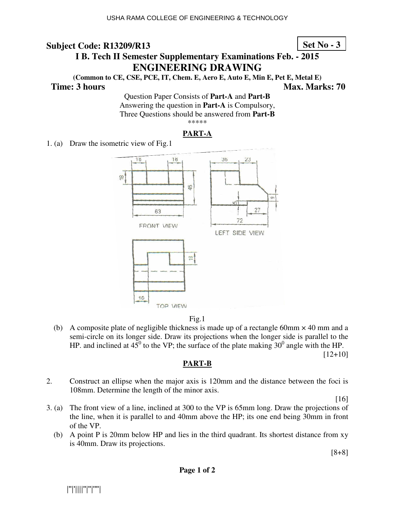## **Set No - 3**

## **I B. Tech II Semester Supplementary Examinations Feb. - 2015 ENGINEERING DRAWING**

**(Common to CE, CSE, PCE, IT, Chem. E, Aero E, Auto E, Min E, Pet E, Metal E)** 

**Time: 3 hours Max. Marks: 70 Max. Marks: 70** 

Question Paper Consists of **Part-A** and **Part-B** Answering the question in **Part-A** is Compulsory, Three Questions should be answered from **Part-B** \*\*\*\*\*

#### **PART-A**

1. (a) Draw the isometric view of Fig.1





 (b) A composite plate of negligible thickness is made up of a rectangle 60mm × 40 mm and a semi-circle on its longer side. Draw its projections when the longer side is parallel to the HP. and inclined at  $45^{\circ}$  to the VP; the surface of the plate making 30<sup>°</sup> angle with the HP.

[12+10]

### **PART-B**

2. Construct an ellipse when the major axis is 120mm and the distance between the foci is 108mm. Determine the length of the minor axis.

[16]

- 3. (a) The front view of a line, inclined at 300 to the VP is 65mm long. Draw the projections of the line, when it is parallel to and 40mm above the HP; its one end being 30mm in front of the VP.
	- (b) A point P is 20mm below HP and lies in the third quadrant. Its shortest distance from xy is 40mm. Draw its projections.

[8+8]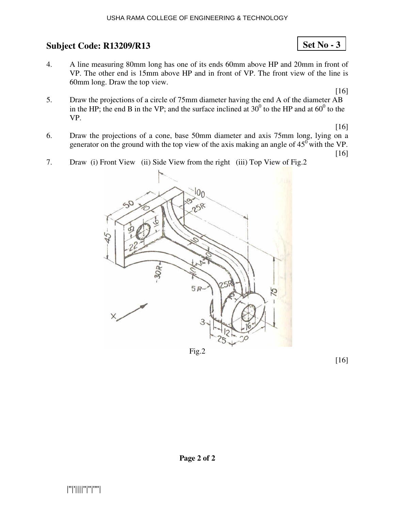4. A line measuring 80mm long has one of its ends 60mm above HP and 20mm in front of VP. The other end is 15mm above HP and in front of VP. The front view of the line is 60mm long. Draw the top view.

[16]

**Set No - 3**

5. Draw the projections of a circle of 75mm diameter having the end A of the diameter AB in the HP; the end B in the VP; and the surface inclined at  $30^0$  to the HP and at  $60^0$  to the VP.

[16]

[16]

- 6. Draw the projections of a cone, base 50mm diameter and axis 75mm long, lying on a generator on the ground with the top view of the axis making an angle of  $45^{\circ}$  with the VP.
- 7. Draw (i) Front View (ii) Side View from the right (iii) Top View of Fig.2

Fig.2

[16]

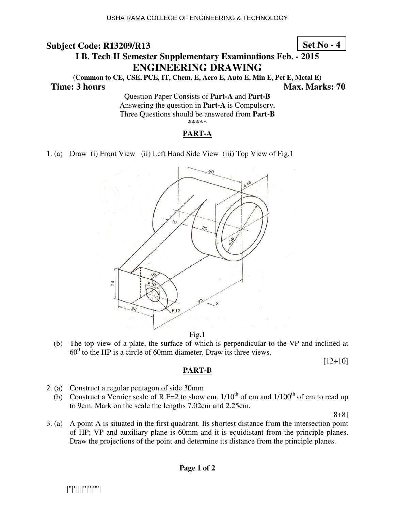**Set No - 4**

# **I B. Tech II Semester Supplementary Examinations Feb. - 2015 ENG NGINEERING DRAWING**

(Common to CE, CSE, PCE, IT, Chem. E, Aero E, Auto E, Min E, Pet E, Metal E)  **Time: 3 hours**  *Ma* **ax. Marks: 70**

Question Paper Consists of Part-A and Part-B Answering the question in **Part-A** is Compulsory, Three Questions should be answered from Part-B \*\*\*\*\*

#### **PART-A**

1. (a) Draw (i) Front View (ii) Left Hand Side View (iii) Top View of Fig.1



Fig.1

(b) The top view of a plate, the surface of which is perpendicular to the VP and inclined at  $60^{\circ}$  to the HP is a circle of 60mm diameter. Draw its three views.

[12+10]

#### **PART-B**

- 2. (a) Construct a regular pentagon of side 30mm
	- (b) Construct a Vernier scale of R.F=2 to show cm.  $1/10^{th}$  of cm and  $1/100^{th}$  of cm to read up to 9cm. Mark on the scale the lengths 7.02cm and 2.25cm.

[8+8]

3. (a) A point A is situated in the first quadrant. Its shortest distance from the intersection point of HP; VP and auxiliary plane is 60mm and it is equidistant from the principle planes. Draw the projections of the point and determine its distance from the principle planes.